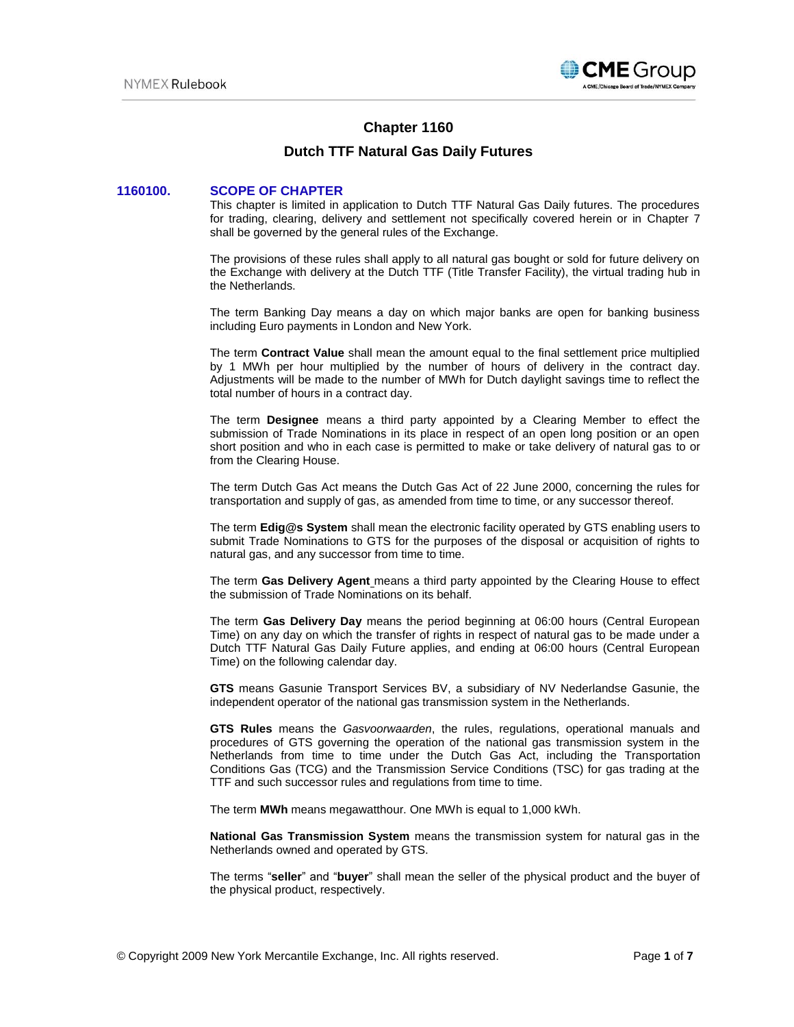

# **Chapter 1160**

# **Dutch TTF Natural Gas Daily Futures**

# **1160100. SCOPE OF CHAPTER**

This chapter is limited in application to Dutch TTF Natural Gas Daily futures. The procedures for trading, clearing, delivery and settlement not specifically covered herein or in Chapter 7 shall be governed by the general rules of the Exchange.

The provisions of these rules shall apply to all natural gas bought or sold for future delivery on the Exchange with delivery at the Dutch TTF (Title Transfer Facility), the virtual trading hub in the Netherlands.

The term Banking Day means a day on which major banks are open for banking business including Euro payments in London and New York.

The term **Contract Value** shall mean the amount equal to the final settlement price multiplied by 1 MWh per hour multiplied by the number of hours of delivery in the contract day. Adjustments will be made to the number of MWh for Dutch daylight savings time to reflect the total number of hours in a contract day.

The term **Designee** means a third party appointed by a Clearing Member to effect the submission of Trade Nominations in its place in respect of an open long position or an open short position and who in each case is permitted to make or take delivery of natural gas to or from the Clearing House.

The term Dutch Gas Act means the Dutch Gas Act of 22 June 2000, concerning the rules for transportation and supply of gas, as amended from time to time, or any successor thereof.

The term **Edig@s System** shall mean the electronic facility operated by GTS enabling users to submit Trade Nominations to GTS for the purposes of the disposal or acquisition of rights to natural gas, and any successor from time to time.

The term **Gas Delivery Agent** means a third party appointed by the Clearing House to effect the submission of Trade Nominations on its behalf.

The term **Gas Delivery Day** means the period beginning at 06:00 hours (Central European Time) on any day on which the transfer of rights in respect of natural gas to be made under a Dutch TTF Natural Gas Daily Future applies, and ending at 06:00 hours (Central European Time) on the following calendar day.

**GTS** means Gasunie Transport Services BV, a subsidiary of NV Nederlandse Gasunie, the independent operator of the national gas transmission system in the Netherlands.

**GTS Rules** means the *Gasvoorwaarden*, the rules, regulations, operational manuals and procedures of GTS governing the operation of the national gas transmission system in the Netherlands from time to time under the Dutch Gas Act, including the Transportation Conditions Gas (TCG) and the Transmission Service Conditions (TSC) for gas trading at the TTF and such successor rules and regulations from time to time.

The term **MWh** means megawatthour. One MWh is equal to 1,000 kWh.

**National Gas Transmission System** means the transmission system for natural gas in the Netherlands owned and operated by GTS.

The terms "**seller**" and "**buyer**" shall mean the seller of the physical product and the buyer of the physical product, respectively.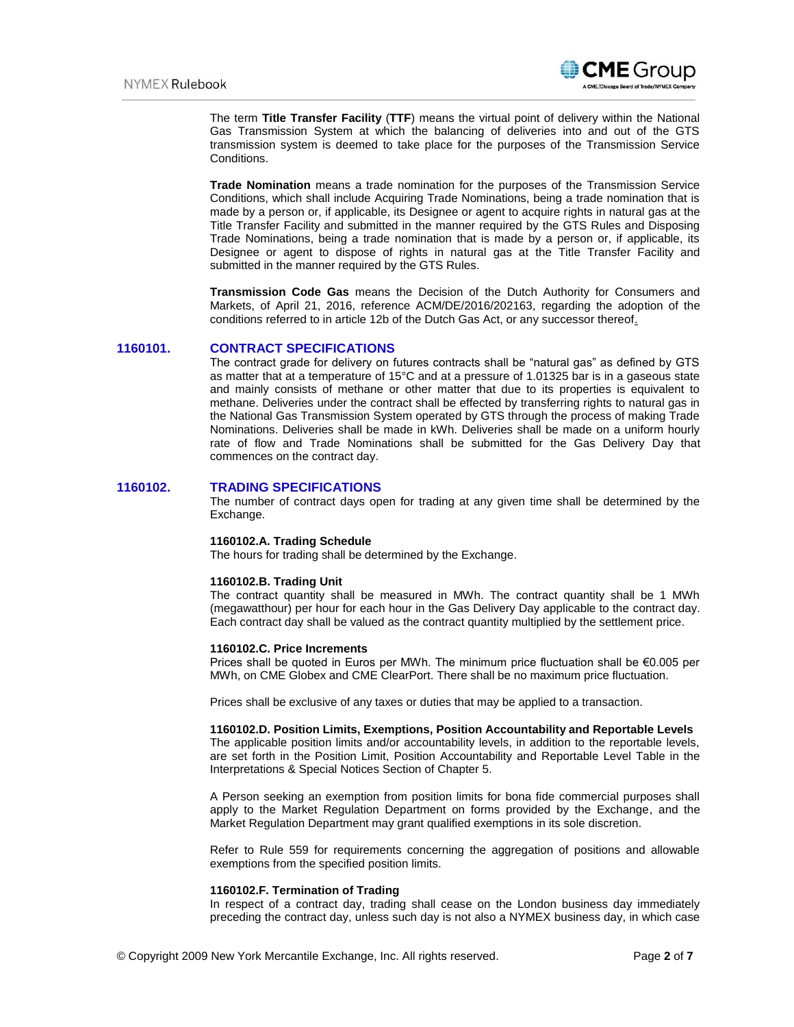

The term **Title Transfer Facility** (**TTF**) means the virtual point of delivery within the National Gas Transmission System at which the balancing of deliveries into and out of the GTS transmission system is deemed to take place for the purposes of the Transmission Service Conditions.

**Trade Nomination** means a trade nomination for the purposes of the Transmission Service Conditions, which shall include Acquiring Trade Nominations, being a trade nomination that is made by a person or, if applicable, its Designee or agent to acquire rights in natural gas at the Title Transfer Facility and submitted in the manner required by the GTS Rules and Disposing Trade Nominations, being a trade nomination that is made by a person or, if applicable, its Designee or agent to dispose of rights in natural gas at the Title Transfer Facility and submitted in the manner required by the GTS Rules.

**Transmission Code Gas** means the Decision of the Dutch Authority for Consumers and Markets, of April 21, 2016, reference ACM/DE/2016/202163, regarding the adoption of the conditions referred to in article 12b of the Dutch Gas Act, or any successor thereof.

# **1160101. CONTRACT SPECIFICATIONS**

The contract grade for delivery on futures contracts shall be "natural gas" as defined by GTS as matter that at a temperature of 15°C and at a pressure of 1.01325 bar is in a gaseous state and mainly consists of methane or other matter that due to its properties is equivalent to methane. Deliveries under the contract shall be effected by transferring rights to natural gas in the National Gas Transmission System operated by GTS through the process of making Trade Nominations. Deliveries shall be made in kWh. Deliveries shall be made on a uniform hourly rate of flow and Trade Nominations shall be submitted for the Gas Delivery Day that commences on the contract day.

# **1160102. TRADING SPECIFICATIONS**

The number of contract days open for trading at any given time shall be determined by the Exchange.

# **1160102.A. Trading Schedule**

The hours for trading shall be determined by the Exchange.

## **1160102.B. Trading Unit**

The contract quantity shall be measured in MWh. The contract quantity shall be 1 MWh (megawatthour) per hour for each hour in the Gas Delivery Day applicable to the contract day. Each contract day shall be valued as the contract quantity multiplied by the settlement price.

#### **1160102.C. Price Increments**

Prices shall be quoted in Euros per MWh. The minimum price fluctuation shall be €0.005 per MWh, on CME Globex and CME ClearPort. There shall be no maximum price fluctuation.

Prices shall be exclusive of any taxes or duties that may be applied to a transaction.

## **1160102.D. Position Limits, Exemptions, Position Accountability and Reportable Levels**

The applicable position limits and/or accountability levels, in addition to the reportable levels, are set forth in the Position Limit, Position Accountability and Reportable Level Table in the Interpretations & Special Notices Section of Chapter 5.

A Person seeking an exemption from position limits for bona fide commercial purposes shall apply to the Market Regulation Department on forms provided by the Exchange, and the Market Regulation Department may grant qualified exemptions in its sole discretion.

Refer to Rule 559 for requirements concerning the aggregation of positions and allowable exemptions from the specified position limits.

## **1160102.F. Termination of Trading**

In respect of a contract day, trading shall cease on the London business day immediately preceding the contract day, unless such day is not also a NYMEX business day, in which case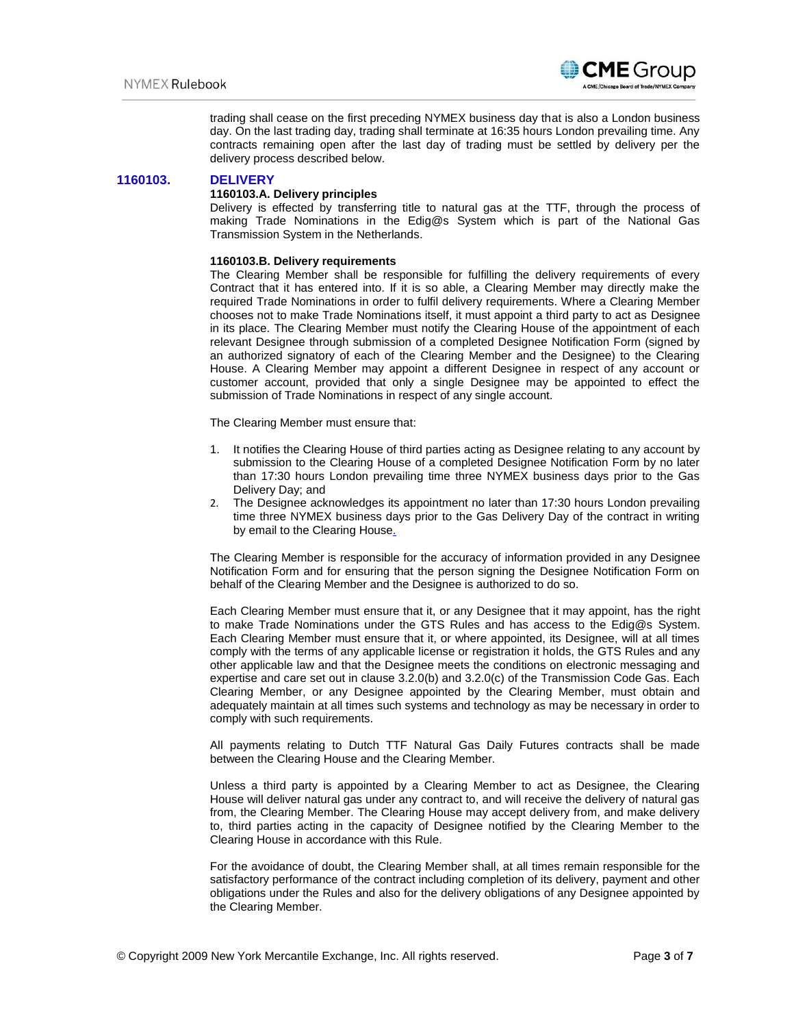

trading shall cease on the first preceding NYMEX business day that is also a London business day. On the last trading day, trading shall terminate at 16:35 hours London prevailing time. Any contracts remaining open after the last day of trading must be settled by delivery per the delivery process described below.

# **1160103. DELIVERY**

## **1160103.A. Delivery principles**

Delivery is effected by transferring title to natural gas at the TTF, through the process of making Trade Nominations in the Edig@s System which is part of the National Gas Transmission System in the Netherlands.

## **1160103.B. Delivery requirements**

The Clearing Member shall be responsible for fulfilling the delivery requirements of every Contract that it has entered into. If it is so able, a Clearing Member may directly make the required Trade Nominations in order to fulfil delivery requirements. Where a Clearing Member chooses not to make Trade Nominations itself, it must appoint a third party to act as Designee in its place. The Clearing Member must notify the Clearing House of the appointment of each relevant Designee through submission of a completed Designee Notification Form (signed by an authorized signatory of each of the Clearing Member and the Designee) to the Clearing House. A Clearing Member may appoint a different Designee in respect of any account or customer account, provided that only a single Designee may be appointed to effect the submission of Trade Nominations in respect of any single account.

The Clearing Member must ensure that:

- 1. It notifies the Clearing House of third parties acting as Designee relating to any account by submission to the Clearing House of a completed Designee Notification Form by no later than 17:30 hours London prevailing time three NYMEX business days prior to the Gas Delivery Day; and
- 2. The Designee acknowledges its appointment no later than 17:30 hours London prevailing time three NYMEX business days prior to the Gas Delivery Day of the contract in writing by email to the Clearing House.

The Clearing Member is responsible for the accuracy of information provided in any Designee Notification Form and for ensuring that the person signing the Designee Notification Form on behalf of the Clearing Member and the Designee is authorized to do so.

Each Clearing Member must ensure that it, or any Designee that it may appoint, has the right to make Trade Nominations under the GTS Rules and has access to the Edig@s System. Each Clearing Member must ensure that it, or where appointed, its Designee, will at all times comply with the terms of any applicable license or registration it holds, the GTS Rules and any other applicable law and that the Designee meets the conditions on electronic messaging and expertise and care set out in clause 3.2.0(b) and 3.2.0(c) of the Transmission Code Gas. Each Clearing Member, or any Designee appointed by the Clearing Member, must obtain and adequately maintain at all times such systems and technology as may be necessary in order to comply with such requirements.

All payments relating to Dutch TTF Natural Gas Daily Futures contracts shall be made between the Clearing House and the Clearing Member.

Unless a third party is appointed by a Clearing Member to act as Designee, the Clearing House will deliver natural gas under any contract to, and will receive the delivery of natural gas from, the Clearing Member. The Clearing House may accept delivery from, and make delivery to, third parties acting in the capacity of Designee notified by the Clearing Member to the Clearing House in accordance with this Rule.

For the avoidance of doubt, the Clearing Member shall, at all times remain responsible for the satisfactory performance of the contract including completion of its delivery, payment and other obligations under the Rules and also for the delivery obligations of any Designee appointed by the Clearing Member.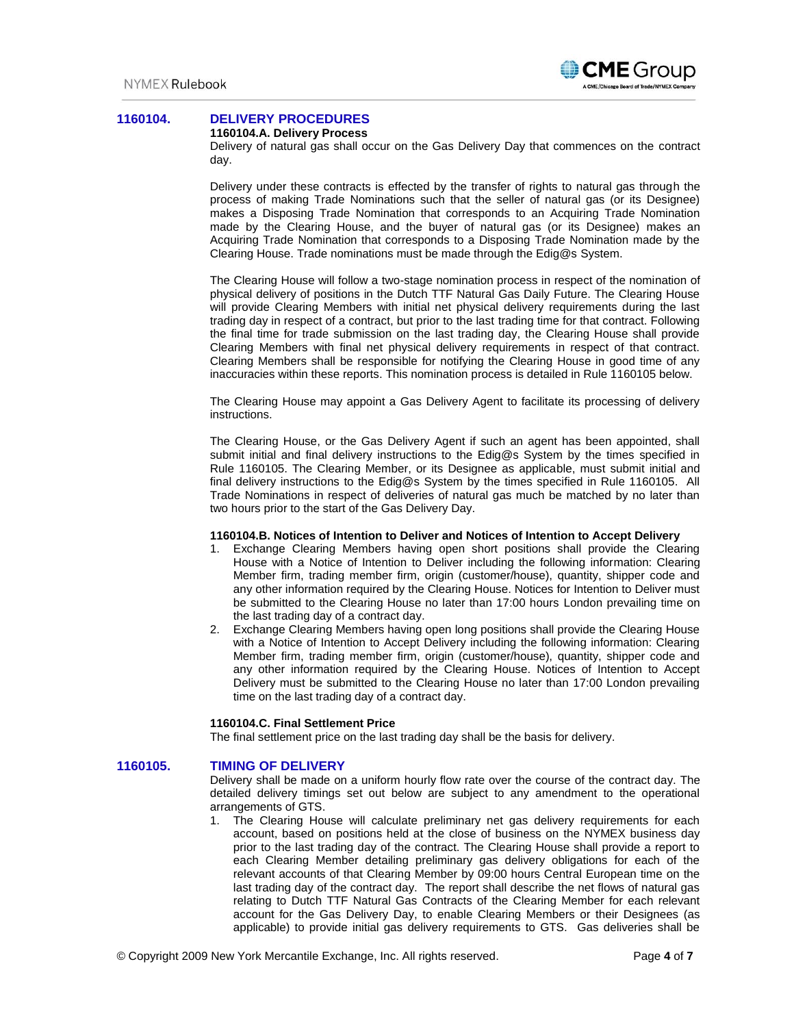

# **1160104. DELIVERY PROCEDURES**

#### **1160104.A. Delivery Process**

Delivery of natural gas shall occur on the Gas Delivery Day that commences on the contract day.

Delivery under these contracts is effected by the transfer of rights to natural gas through the process of making Trade Nominations such that the seller of natural gas (or its Designee) makes a Disposing Trade Nomination that corresponds to an Acquiring Trade Nomination made by the Clearing House, and the buyer of natural gas (or its Designee) makes an Acquiring Trade Nomination that corresponds to a Disposing Trade Nomination made by the Clearing House. Trade nominations must be made through the Edig@s System.

The Clearing House will follow a two-stage nomination process in respect of the nomination of physical delivery of positions in the Dutch TTF Natural Gas Daily Future. The Clearing House will provide Clearing Members with initial net physical delivery requirements during the last trading day in respect of a contract, but prior to the last trading time for that contract. Following the final time for trade submission on the last trading day, the Clearing House shall provide Clearing Members with final net physical delivery requirements in respect of that contract. Clearing Members shall be responsible for notifying the Clearing House in good time of any inaccuracies within these reports. This nomination process is detailed in Rule 1160105 below.

The Clearing House may appoint a Gas Delivery Agent to facilitate its processing of delivery instructions.

The Clearing House, or the Gas Delivery Agent if such an agent has been appointed, shall submit initial and final delivery instructions to the Edig@s System by the times specified in Rule 1160105. The Clearing Member, or its Designee as applicable, must submit initial and final delivery instructions to the Edig@s System by the times specified in Rule 1160105. All Trade Nominations in respect of deliveries of natural gas much be matched by no later than two hours prior to the start of the Gas Delivery Day.

# **1160104.B. Notices of Intention to Deliver and Notices of Intention to Accept Delivery**

- 1. Exchange Clearing Members having open short positions shall provide the Clearing House with a Notice of Intention to Deliver including the following information: Clearing Member firm, trading member firm, origin (customer/house), quantity, shipper code and any other information required by the Clearing House. Notices for Intention to Deliver must be submitted to the Clearing House no later than 17:00 hours London prevailing time on the last trading day of a contract day.
- 2. Exchange Clearing Members having open long positions shall provide the Clearing House with a Notice of Intention to Accept Delivery including the following information: Clearing Member firm, trading member firm, origin (customer/house), quantity, shipper code and any other information required by the Clearing House. Notices of Intention to Accept Delivery must be submitted to the Clearing House no later than 17:00 London prevailing time on the last trading day of a contract day.

## **1160104.C. Final Settlement Price**

The final settlement price on the last trading day shall be the basis for delivery.

# **1160105. TIMING OF DELIVERY**

Delivery shall be made on a uniform hourly flow rate over the course of the contract day. The detailed delivery timings set out below are subject to any amendment to the operational arrangements of GTS.

1. The Clearing House will calculate preliminary net gas delivery requirements for each account, based on positions held at the close of business on the NYMEX business day prior to the last trading day of the contract. The Clearing House shall provide a report to each Clearing Member detailing preliminary gas delivery obligations for each of the relevant accounts of that Clearing Member by 09:00 hours Central European time on the last trading day of the contract day. The report shall describe the net flows of natural gas relating to Dutch TTF Natural Gas Contracts of the Clearing Member for each relevant account for the Gas Delivery Day, to enable Clearing Members or their Designees (as applicable) to provide initial gas delivery requirements to GTS. Gas deliveries shall be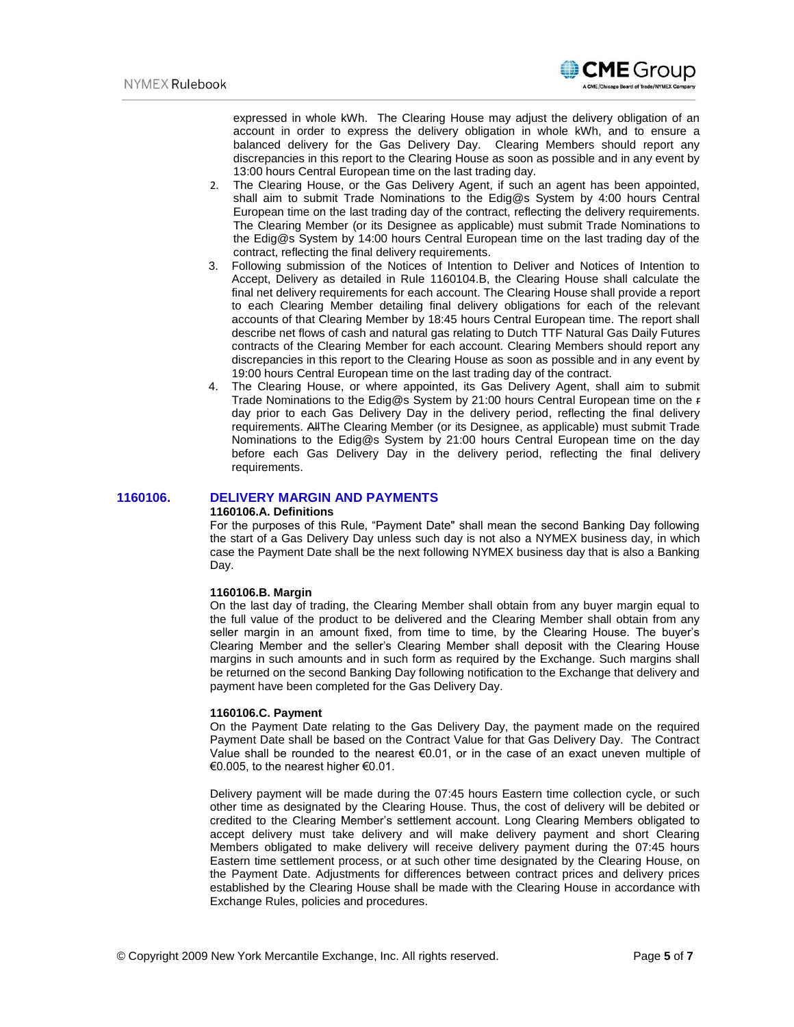

expressed in whole kWh. The Clearing House may adjust the delivery obligation of an account in order to express the delivery obligation in whole kWh, and to ensure a balanced delivery for the Gas Delivery Day. Clearing Members should report any discrepancies in this report to the Clearing House as soon as possible and in any event by 13:00 hours Central European time on the last trading day.

- 2. The Clearing House, or the Gas Delivery Agent, if such an agent has been appointed, shall aim to submit Trade Nominations to the Edig@s System by 4:00 hours Central European time on the last trading day of the contract, reflecting the delivery requirements. The Clearing Member (or its Designee as applicable) must submit Trade Nominations to the Edig@s System by 14:00 hours Central European time on the last trading day of the contract, reflecting the final delivery requirements.
- 3. Following submission of the Notices of Intention to Deliver and Notices of Intention to Accept, Delivery as detailed in Rule 1160104.B, the Clearing House shall calculate the final net delivery requirements for each account. The Clearing House shall provide a report to each Clearing Member detailing final delivery obligations for each of the relevant accounts of that Clearing Member by 18:45 hours Central European time. The report shall describe net flows of cash and natural gas relating to Dutch TTF Natural Gas Daily Futures contracts of the Clearing Member for each account. Clearing Members should report any discrepancies in this report to the Clearing House as soon as possible and in any event by 19:00 hours Central European time on the last trading day of the contract.
- 4. The Clearing House, or where appointed, its Gas Delivery Agent, shall aim to submit Trade Nominations to the Edig@s System by 21:00 hours Central European time on the r day prior to each Gas Delivery Day in the delivery period, reflecting the final delivery requirements. AllThe Clearing Member (or its Designee, as applicable) must submit Trade Nominations to the Edig@s System by 21:00 hours Central European time on the day before each Gas Delivery Day in the delivery period, reflecting the final delivery requirements.

# **1160106. DELIVERY MARGIN AND PAYMENTS**

#### **1160106.A. Definitions**

For the purposes of this Rule, "Payment Date" shall mean the second Banking Day following the start of a Gas Delivery Day unless such day is not also a NYMEX business day, in which case the Payment Date shall be the next following NYMEX business day that is also a Banking Day.

## **1160106.B. Margin**

On the last day of trading, the Clearing Member shall obtain from any buyer margin equal to the full value of the product to be delivered and the Clearing Member shall obtain from any seller margin in an amount fixed, from time to time, by the Clearing House. The buyer's Clearing Member and the seller's Clearing Member shall deposit with the Clearing House margins in such amounts and in such form as required by the Exchange. Such margins shall be returned on the second Banking Day following notification to the Exchange that delivery and payment have been completed for the Gas Delivery Day.

## **1160106.C. Payment**

On the Payment Date relating to the Gas Delivery Day, the payment made on the required Payment Date shall be based on the Contract Value for that Gas Delivery Day. The Contract Value shall be rounded to the nearest  $€0.01$ , or in the case of an exact uneven multiple of €0.005, to the nearest higher €0.01.

Delivery payment will be made during the 07:45 hours Eastern time collection cycle, or such other time as designated by the Clearing House. Thus, the cost of delivery will be debited or credited to the Clearing Member's settlement account. Long Clearing Members obligated to accept delivery must take delivery and will make delivery payment and short Clearing Members obligated to make delivery will receive delivery payment during the 07:45 hours Eastern time settlement process, or at such other time designated by the Clearing House, on the Payment Date. Adjustments for differences between contract prices and delivery prices established by the Clearing House shall be made with the Clearing House in accordance with Exchange Rules, policies and procedures.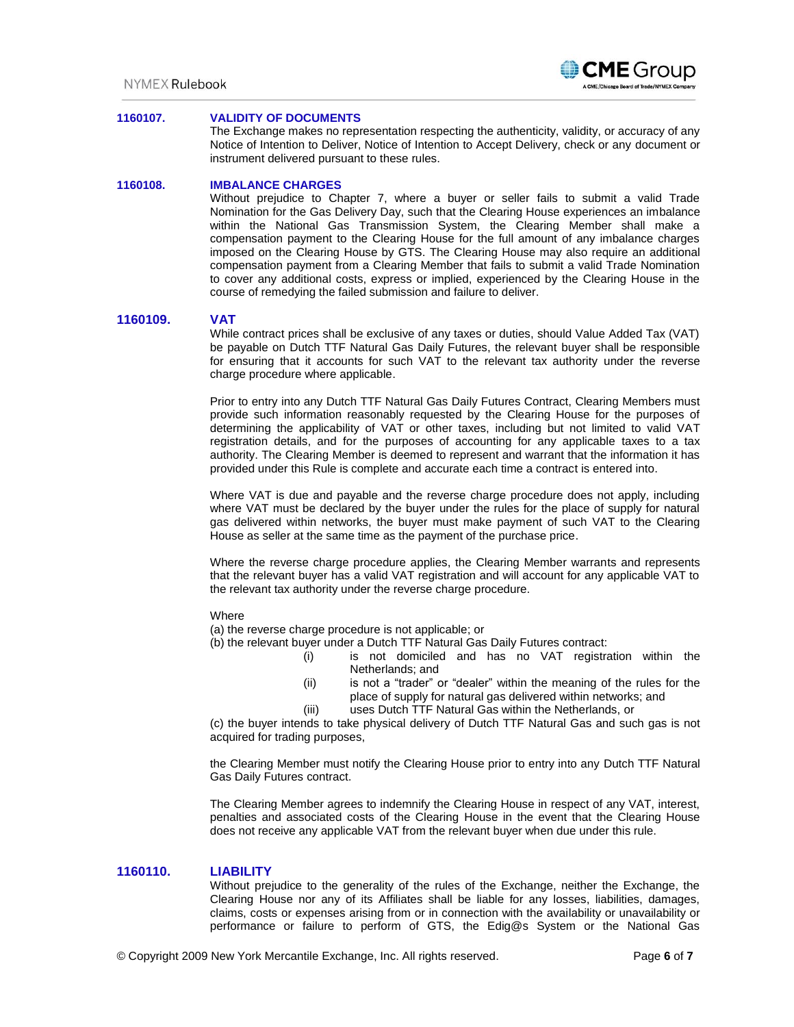## **1160107. VALIDITY OF DOCUMENTS**

The Exchange makes no representation respecting the authenticity, validity, or accuracy of any Notice of Intention to Deliver, Notice of Intention to Accept Delivery, check or any document or instrument delivered pursuant to these rules.

## **1160108. IMBALANCE CHARGES**

Without prejudice to Chapter 7, where a buyer or seller fails to submit a valid Trade Nomination for the Gas Delivery Day, such that the Clearing House experiences an imbalance within the National Gas Transmission System, the Clearing Member shall make a compensation payment to the Clearing House for the full amount of any imbalance charges imposed on the Clearing House by GTS. The Clearing House may also require an additional compensation payment from a Clearing Member that fails to submit a valid Trade Nomination to cover any additional costs, express or implied, experienced by the Clearing House in the course of remedying the failed submission and failure to deliver.

# **1160109. VAT**

While contract prices shall be exclusive of any taxes or duties, should Value Added Tax (VAT) be payable on Dutch TTF Natural Gas Daily Futures, the relevant buyer shall be responsible for ensuring that it accounts for such VAT to the relevant tax authority under the reverse charge procedure where applicable.

Prior to entry into any Dutch TTF Natural Gas Daily Futures Contract, Clearing Members must provide such information reasonably requested by the Clearing House for the purposes of determining the applicability of VAT or other taxes, including but not limited to valid VAT registration details, and for the purposes of accounting for any applicable taxes to a tax authority. The Clearing Member is deemed to represent and warrant that the information it has provided under this Rule is complete and accurate each time a contract is entered into.

Where VAT is due and payable and the reverse charge procedure does not apply, including where VAT must be declared by the buyer under the rules for the place of supply for natural gas delivered within networks, the buyer must make payment of such VAT to the Clearing House as seller at the same time as the payment of the purchase price.

Where the reverse charge procedure applies, the Clearing Member warrants and represents that the relevant buyer has a valid VAT registration and will account for any applicable VAT to the relevant tax authority under the reverse charge procedure.

#### Where

(a) the reverse charge procedure is not applicable; or

(b) the relevant buyer under a Dutch TTF Natural Gas Daily Futures contract:

- (i) is not domiciled and has no VAT registration within the Netherlands; and
- (ii) is not a "trader" or "dealer" within the meaning of the rules for the place of supply for natural gas delivered within networks; and
- (iii) uses Dutch TTF Natural Gas within the Netherlands, or

(c) the buyer intends to take physical delivery of Dutch TTF Natural Gas and such gas is not acquired for trading purposes,

the Clearing Member must notify the Clearing House prior to entry into any Dutch TTF Natural Gas Daily Futures contract.

The Clearing Member agrees to indemnify the Clearing House in respect of any VAT, interest, penalties and associated costs of the Clearing House in the event that the Clearing House does not receive any applicable VAT from the relevant buyer when due under this rule.

## **1160110. LIABILITY**

Without prejudice to the generality of the rules of the Exchange, neither the Exchange, the Clearing House nor any of its Affiliates shall be liable for any losses, liabilities, damages, claims, costs or expenses arising from or in connection with the availability or unavailability or performance or failure to perform of GTS, the Edig@s System or the National Gas